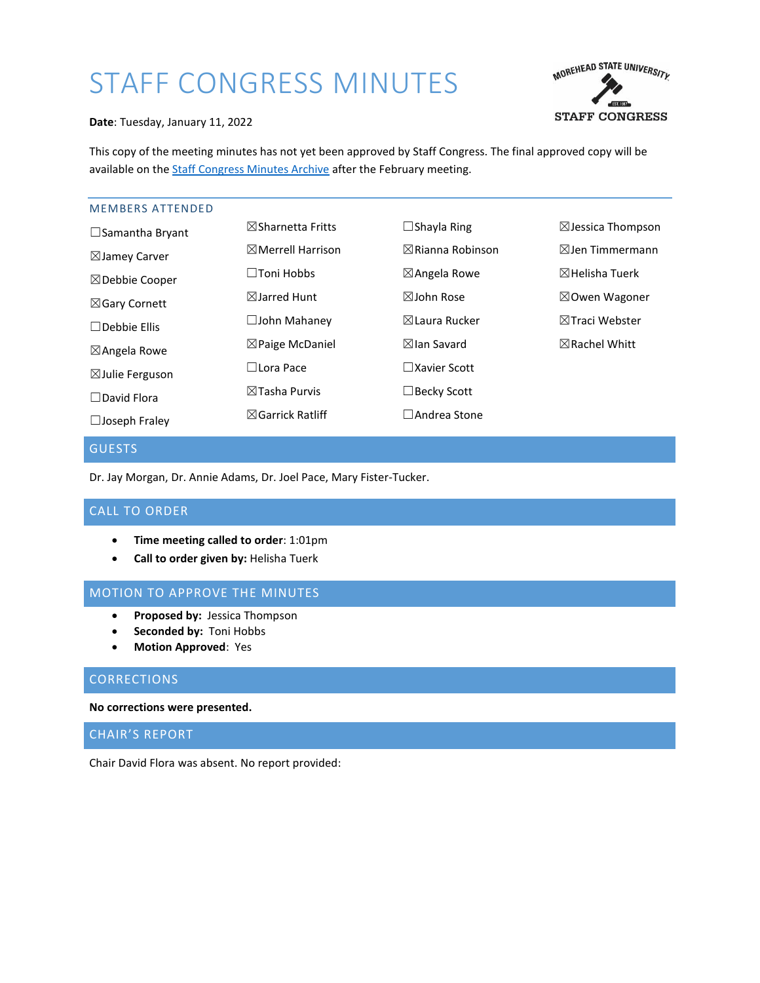# STAFF CONGRESS MINUTES



**Date**: Tuesday, January 11, 2022

This copy of the meeting minutes has not yet been approved by Staff Congress. The final approved copy will be available on the [Staff Congress Minutes Archive](https://scholarworks.moreheadstate.edu/staff_congress_records/) after the February meeting.

# MEMBERS ATTENDED

| $\boxtimes$ Sharnetta Fritts | $\Box$ Shayla Ring          | $\boxtimes$ Jessica Thompson |
|------------------------------|-----------------------------|------------------------------|
| $\boxtimes$ Merrell Harrison | $\boxtimes$ Rianna Robinson | $\boxtimes$ Jen Timmermann   |
| $\square$ Toni Hobbs         | $\boxtimes$ Angela Rowe     | $\boxtimes$ Helisha Tuerk    |
| $\boxtimes$ Jarred Hunt      | $\boxtimes$ John Rose       | $\boxtimes$ Owen Wagoner     |
| $\Box$ John Mahaney          | $\boxtimes$ Laura Rucker    | $\boxtimes$ Traci Webster    |
| $\boxtimes$ Paige McDaniel   | $\boxtimes$ lan Savard      | $\boxtimes$ Rachel Whitt     |
| $\Box$ Lora Pace             | $\square$ Xavier Scott      |                              |
| $\boxtimes$ Tasha Purvis     | $\Box$ Becky Scott          |                              |
| $\boxtimes$ Garrick Ratliff  | $\Box$ Andrea Stone         |                              |
|                              |                             |                              |

# **GUESTS**

Dr. Jay Morgan, Dr. Annie Adams, Dr. Joel Pace, Mary Fister-Tucker.

# CALL TO ORDER

- **Time meeting called to order**: 1:01pm
- **•** Call to order given by: Helisha Tuerk

# MOTION TO APPROVE THE MINUTES

- **Proposed by:** Jessica Thompson
- **Seconded by:** Toni Hobbs
- **Motion Approved**: Yes

# **CORRECTIONS**

#### **No corrections were presented.**

# CHAIR'S REPORT

Chair David Flora was absent. No report provided: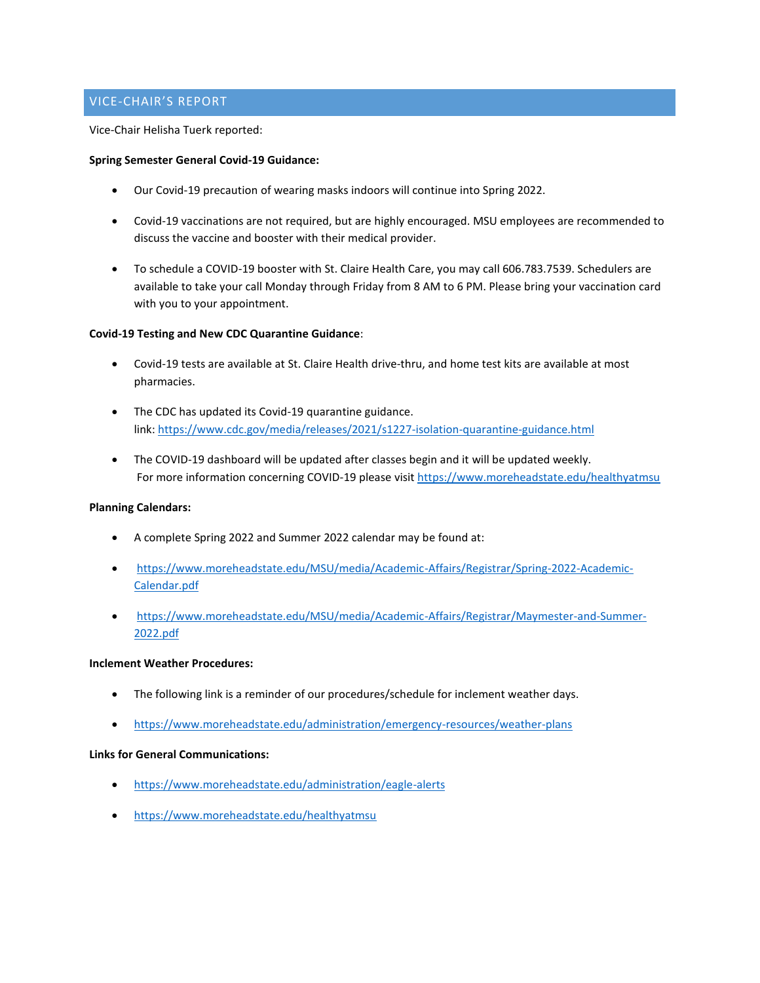# VICE-CHAIR'S REPORT

Vice-Chair Helisha Tuerk reported:

## **Spring Semester General Covid-19 Guidance:**

- Our Covid-19 precaution of wearing masks indoors will continue into Spring 2022.
- Covid-19 vaccinations are not required, but are highly encouraged. MSU employees are recommended to discuss the vaccine and booster with their medical provider.
- To schedule a COVID-19 booster with St. Claire Health Care, you may call 606.783.7539. Schedulers are available to take your call Monday through Friday from 8 AM to 6 PM. Please bring your vaccination card with you to your appointment.

# **Covid-19 Testing and New CDC Quarantine Guidance**:

- Covid-19 tests are available at St. Claire Health drive-thru, and home test kits are available at most pharmacies.
- The CDC has updated its Covid-19 quarantine guidance. link: [https://www.cdc.gov/media/releases/2021/s1227-isolation-quarantine-guidance.html](https://nam12.safelinks.protection.outlook.com/?url=https%3A%2F%2Fwww.cdc.gov%2Fmedia%2Freleases%2F2021%2Fs1227-isolation-quarantine-guidance.html&data=04%7C01%7Ch.tuerk%40moreheadstate.edu%7C662f19d178a642f5594808d9d3b40a72%7C6135a844853b4b8c9020ae7f7ccf6c22%7C0%7C0%7C637773592717718935%7CUnknown%7CTWFpbGZsb3d8eyJWIjoiMC4wLjAwMDAiLCJQIjoiV2luMzIiLCJBTiI6Ik1haWwiLCJXVCI6Mn0%3D%7C3000&sdata=g3yrAsS2JjYVpRrC%2BVxdv7TFG42vX6e9R%2Bc%2FCgsZBBA%3D&reserved=0)
- The COVID-19 dashboard will be updated after classes begin and it will be updated weekly. For more information concerning COVID-19 please visi[t https://www.moreheadstate.edu/healthyatmsu](https://www.moreheadstate.edu/healthyatmsu)

## **Planning Calendars:**

- A complete Spring 2022 and Summer 2022 calendar may be found at:
- [https://www.moreheadstate.edu/MSU/media/Academic-Affairs/Registrar/Spring-2022-Academic-](https://www.moreheadstate.edu/MSU/media/Academic-Affairs/Registrar/Spring-2022-Academic-Calendar.pdf)[Calendar.pdf](https://www.moreheadstate.edu/MSU/media/Academic-Affairs/Registrar/Spring-2022-Academic-Calendar.pdf)
- [https://www.moreheadstate.edu/MSU/media/Academic-Affairs/Registrar/Maymester-and-Summer-](https://www.moreheadstate.edu/MSU/media/Academic-Affairs/Registrar/Maymester-and-Summer-2022.pdf)[2022.pdf](https://www.moreheadstate.edu/MSU/media/Academic-Affairs/Registrar/Maymester-and-Summer-2022.pdf)

# **Inclement Weather Procedures:**

- The following link is a reminder of our procedures/schedule for inclement weather days.
- <https://www.moreheadstate.edu/administration/emergency-resources/weather-plans>

## **Links for General Communications:**

- <https://www.moreheadstate.edu/administration/eagle-alerts>
- <https://www.moreheadstate.edu/healthyatmsu>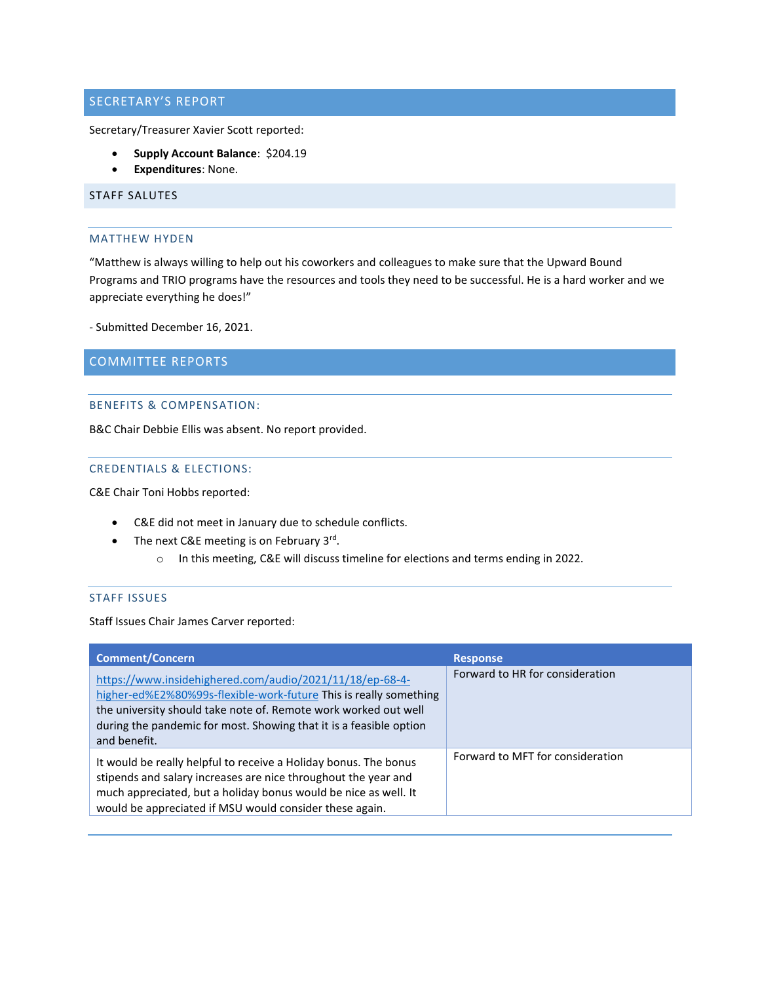# SECRETARY'S REPORT

Secretary/Treasurer Xavier Scott reported:

- **Supply Account Balance**: \$204.19
- **Expenditures**: None.

# STAFF SALUTES

#### MATTHEW HYDEN

"Matthew is always willing to help out his coworkers and colleagues to make sure that the Upward Bound Programs and TRIO programs have the resources and tools they need to be successful. He is a hard worker and we appreciate everything he does!"

- Submitted December 16, 2021.

COMMITTEE REPORTS

## BENEFITS & COMPENSATION:

B&C Chair Debbie Ellis was absent. No report provided.

## CREDENTIALS & ELECTIONS:

C&E Chair Toni Hobbs reported:

- C&E did not meet in January due to schedule conflicts.
- The next C&E meeting is on February 3<sup>rd</sup>.
	- o In this meeting, C&E will discuss timeline for elections and terms ending in 2022.

# STAFF ISSUES

Staff Issues Chair James Carver reported:

| <b>Comment/Concern</b>                                                                                                                                                                                                                                                                 | <b>Response</b>                  |
|----------------------------------------------------------------------------------------------------------------------------------------------------------------------------------------------------------------------------------------------------------------------------------------|----------------------------------|
| https://www.insidehighered.com/audio/2021/11/18/ep-68-4-<br>higher-ed%E2%80%99s-flexible-work-future This is really something<br>the university should take note of. Remote work worked out well<br>during the pandemic for most. Showing that it is a feasible option<br>and benefit. | Forward to HR for consideration  |
| It would be really helpful to receive a Holiday bonus. The bonus<br>stipends and salary increases are nice throughout the year and<br>much appreciated, but a holiday bonus would be nice as well. It<br>would be appreciated if MSU would consider these again.                       | Forward to MFT for consideration |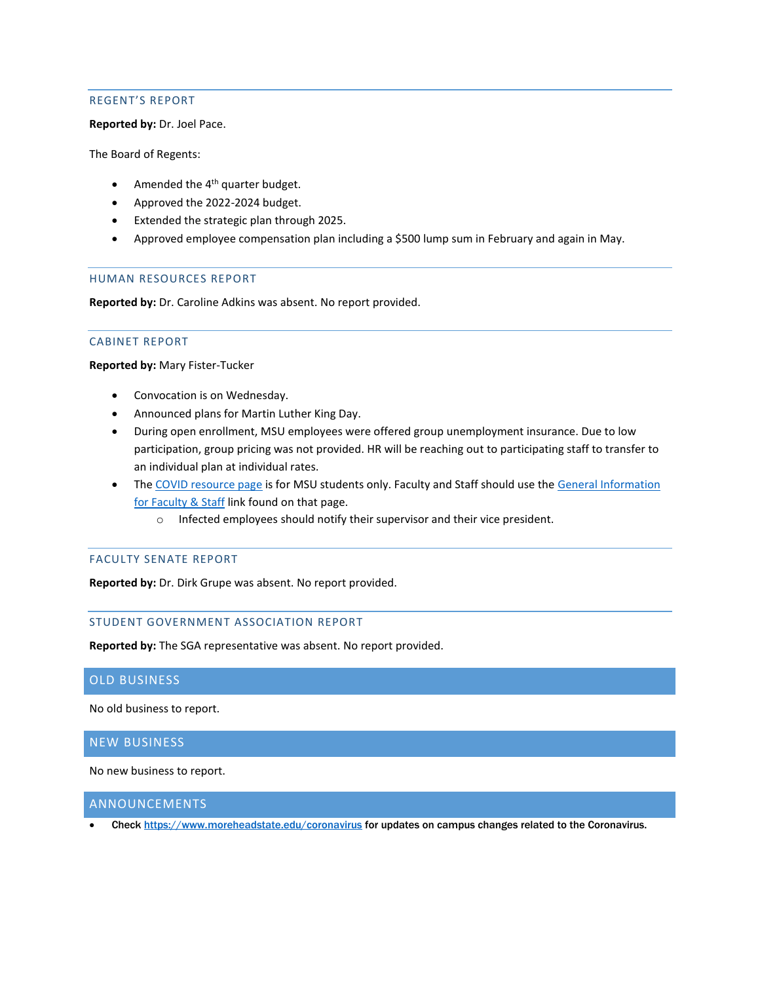# REGENT'S REPORT

**Reported by:** Dr. Joel Pace.

The Board of Regents:

- $\bullet$  Amended the 4<sup>th</sup> quarter budget.
- Approved the 2022-2024 budget.
- Extended the strategic plan through 2025.
- Approved employee compensation plan including a \$500 lump sum in February and again in May.

#### HUMAN RESOURCES REPORT

**Reported by:** Dr. Caroline Adkins was absent. No report provided.

# CABINET REPORT

**Reported by:** Mary Fister-Tucker

- Convocation is on Wednesday.
- Announced plans for Martin Luther King Day.
- During open enrollment, MSU employees were offered group unemployment insurance. Due to low participation, group pricing was not provided. HR will be reaching out to participating staff to transfer to an individual plan at individual rates.
- Th[e COVID resource page](https://www.moreheadstate.edu/healthyatmsu) is for MSU students only. Faculty and Staff should use the General Information [for Faculty & Staff](https://www.moreheadstate.edu/MSU/media/Environmental-Health-and-Safety/General-Information-for-Faculty-and-Staff-2021.pdf) link found on that page.
	- o Infected employees should notify their supervisor and their vice president.

### FACULTY SENATE REPORT

**Reported by:** Dr. Dirk Grupe was absent. No report provided.

## STUDENT GOVERNMENT ASSOCIATION REPORT

**Reported by:** The SGA representative was absent. No report provided.

# OLD BUSINESS

No old business to report.

# NEW BUSINESS

No new business to report.

## ANNOUNCEMENTS

Check<https://www.moreheadstate.edu/coronavirus> for updates on campus changes related to the Coronavirus.